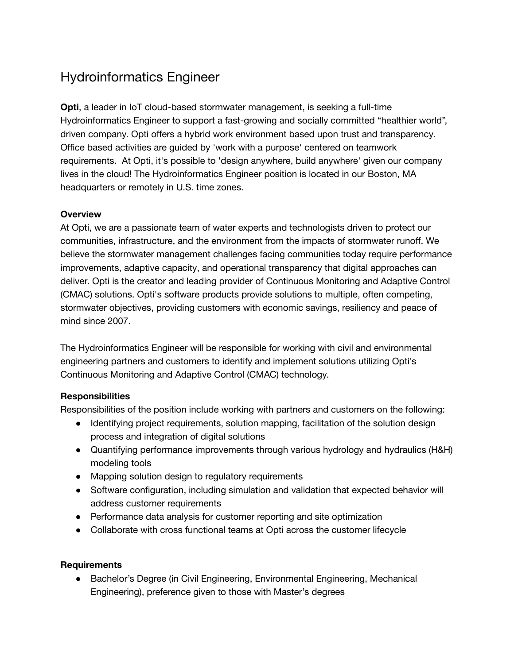# Hydroinformatics Engineer

**Opti**, a leader in IoT cloud-based stormwater management, is seeking a full-time Hydroinformatics Engineer to support a fast-growing and socially committed "healthier world", driven company. Opti offers a hybrid work environment based upon trust and transparency. Office based activities are guided by 'work with a purpose' centered on teamwork requirements. At Opti, it's possible to 'design anywhere, build anywhere' given our company lives in the cloud! The Hydroinformatics Engineer position is located in our Boston, MA headquarters or remotely in U.S. time zones.

## **Overview**

At Opti, we are a passionate team of water experts and technologists driven to protect our communities, infrastructure, and the environment from the impacts of stormwater runoff. We believe the stormwater management challenges facing communities today require performance improvements, adaptive capacity, and operational transparency that digital approaches can deliver. Opti is the creator and leading provider of Continuous Monitoring and Adaptive Control (CMAC) solutions. Opti's software products provide solutions to multiple, often competing, stormwater objectives, providing customers with economic savings, resiliency and peace of mind since 2007.

The Hydroinformatics Engineer will be responsible for working with civil and environmental engineering partners and customers to identify and implement solutions utilizing Opti's Continuous Monitoring and Adaptive Control (CMAC) technology.

## **Responsibilities**

Responsibilities of the position include working with partners and customers on the following:

- Identifying project requirements, solution mapping, facilitation of the solution design process and integration of digital solutions
- Quantifying performance improvements through various hydrology and hydraulics (H&H) modeling tools
- Mapping solution design to regulatory requirements
- Software configuration, including simulation and validation that expected behavior will address customer requirements
- Performance data analysis for customer reporting and site optimization
- Collaborate with cross functional teams at Opti across the customer lifecycle

#### **Requirements**

● Bachelor's Degree (in Civil Engineering, Environmental Engineering, Mechanical Engineering), preference given to those with Master's degrees